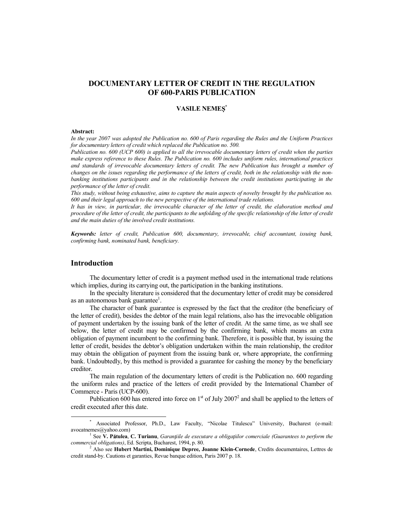# **DOCUMENTARY LETTER OF CREDIT IN THE REGULATION OF 600-PARIS PUBLICATION**

# **VASILE NEME \***

#### **Abstract:**

*In the year 2007 was adopted the Publication no. 600 of Paris regarding the Rules and the Uniform Practices for documentary letters of credit which replaced the Publication no. 500.* 

*Publication no. 600 (UCP 600) is applied to all the irrevocable documentary letters of credit when the parties make express reference to these Rules. The Publication no. 600 includes uniform rules, international practices and standards of irrevocable documentary letters of credit. The new Publication has brought a number of changes on the issues regarding the performance of the letters of credit, both in the relationship with the nonbanking institutions participants and in the relationship between the credit institutions participating in the performance of the letter of credit.* 

*This study, without being exhaustive, aims to capture the main aspects of novelty brought by the publication no. 600 and their legal approach to the new perspective of the international trade relations.* 

*It has in view, in particular, the irrevocable character of the letter of credit, the elaboration method and procedure of the letter of credit, the participants to the unfolding of the specific relationship of the letter of credit and the main duties of the involved credit institutions.* 

*Keywords: letter of credit, Publication 600, documentary, irrevocable, chief accountant, issuing bank, confirming bank, nominated bank, beneficiary.* 

## **Introduction**

The documentary letter of credit is a payment method used in the international trade relations which implies, during its carrying out, the participation in the banking institutions.

In the specialty literature is considered that the documentary letter of credit may be considered as an autonomous bank guarantee<sup>1</sup>.

The character of bank guarantee is expressed by the fact that the creditor (the beneficiary of the letter of credit), besides the debtor of the main legal relations, also has the irrevocable obligation of payment undertaken by the issuing bank of the letter of credit. At the same time, as we shall see below, the letter of credit may be confirmed by the confirming bank, which means an extra obligation of payment incumbent to the confirming bank. Therefore, it is possible that, by issuing the letter of credit, besides the debtor's obligation undertaken within the main relationship, the creditor may obtain the obligation of payment from the issuing bank or, where appropriate, the confirming bank. Undoubtedly, by this method is provided a guarantee for cashing the money by the beneficiary creditor.

The main regulation of the documentary letters of credit is the Publication no. 600 regarding the uniform rules and practice of the letters of credit provided by the International Chamber of Commerce - Paris (UCP-600).

Publication 600 has entered into force on  $1<sup>st</sup>$  of July 2007<sup>2</sup> and shall be applied to the letters of credit executed after this date.

<sup>\*</sup> Associated Professor, Ph.D., Law Faculty, "Nicolae Titulescu" University, Bucharest (e-mail: avocatnemes@yahoo.com)

<sup>&</sup>lt;sup>1</sup> See **V. Pătulea, C. Turianu**, *Garanțiile de executare a obligațiilor comerciale (Guarantees to perform the commercial obligations)*, Ed. Scripta, Bucharest, 1994, p. 80. 2 Also see **Hubert Martini, Dominique Depree, Joanne Klein-Cornede**, Credits documentaires, Lettres de

credit stand-by. Cautions et garanties, Revue banque edition, Paris 2007 p. 18.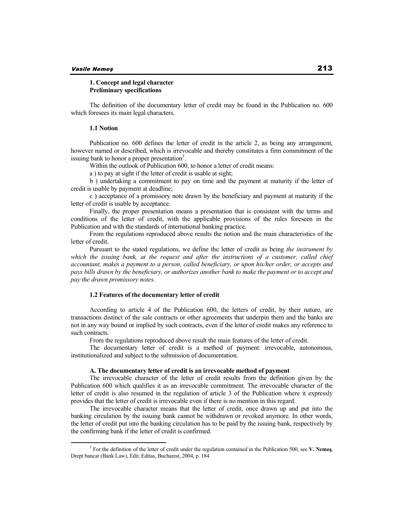## **1. Concept and legal character Preliminary specifications**

The definition of the documentary letter of credit may be found in the Publication no. 600 which foresees its main legal characters.

## **1.1 Notion**

Publication no. 600 defines the letter of credit in the article 2, as being any arrangement, however named or described, which is irrevocable and thereby constitutes a firm commitment of the issuing bank to honor a proper presentation<sup>3</sup>.

Within the outlook of Publication 600, to honor a letter of credit means:

a ) to pay at sight if the letter of credit is usable at sight;

b ) undertaking a commitment to pay on time and the payment at maturity if the letter of credit is usable by payment at deadline;

c ) acceptance of a promissory note drawn by the beneficiary and payment at maturity if the letter of credit is usable by acceptance.

Finally, the proper presentation means a presentation that is consistent with the terms and conditions of the letter of credit, with the applicable provisions of the rules foreseen in the Publication and with the standards of international banking practice.

From the regulations reproduced above results the notion and the main characteristics of the letter of credit.

Pursuant to the stated regulations, we define the letter of credit as being *the instrument by*  which the issuing bank, at the request and after the instructions of a customer, called chief *accountant, makes a payment to a person, called beneficiary, or upon his/her order, or accepts and pays bills drawn by the beneficiary, or authorizes another bank to make the payment or to accept and pay the drawn promissory notes.*

### **1.2 Features of the documentary letter of credit**

According to article 4 of the Publication 600, the letters of credit, by their nature, are transactions distinct of the sale contracts or other agreements that underpin them and the banks are not in any way bound or implied by such contracts, even if the letter of credit makes any reference to such contracts.

From the regulations reproduced above result the main features of the letter of credit.

The documentary letter of credit is a method of payment: irrevocable, autonomous, institutionalized and subject to the submission of documentation.

### **A. The documentary letter of credit is an irrevocable method of payment**

The irrevocable character of the letter of credit results from the definition given by the Publication 600 which qualifies it as an irrevocable commitment. The irrevocable character of the letter of credit is also resumed in the regulation of article 3 of the Publication where it expressly provides that the letter of credit is irrevocable even if there is no mention in this regard.

The irrevocable character means that the letter of credit, once drawn up and put into the banking circulation by the issuing bank cannot be withdrawn or revoked anymore. In other words, the letter of credit put into the banking circulation has to be paid by the issuing bank, respectively by the confirming bank if the letter of credit is confirmed.

 $3$  For the definition of the letter of credit under the regulation contained in the Publication 500, see **V. Neme**s, Drept bancar (Bank Law), Edit. Editas, Bucharest, 2004, p. 184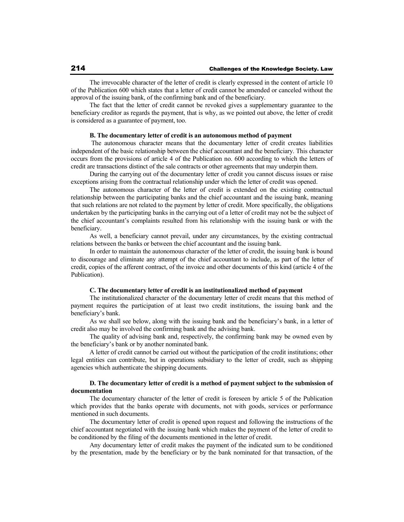The irrevocable character of the letter of credit is clearly expressed in the content of article 10 of the Publication 600 which states that a letter of credit cannot be amended or canceled without the approval of the issuing bank, of the confirming bank and of the beneficiary.

The fact that the letter of credit cannot be revoked gives a supplementary guarantee to the beneficiary creditor as regards the payment, that is why, as we pointed out above, the letter of credit is considered as a guarantee of payment, too.

### **B. The documentary letter of credit is an autonomous method of payment**

 The autonomous character means that the documentary letter of credit creates liabilities independent of the basic relationship between the chief accountant and the beneficiary. This character occurs from the provisions of article 4 of the Publication no. 600 according to which the letters of credit are transactions distinct of the sale contracts or other agreements that may underpin them.

During the carrying out of the documentary letter of credit you cannot discuss issues or raise exceptions arising from the contractual relationship under which the letter of credit was opened.

The autonomous character of the letter of credit is extended on the existing contractual relationship between the participating banks and the chief accountant and the issuing bank, meaning that such relations are not related to the payment by letter of credit. More specifically, the obligations undertaken by the participating banks in the carrying out of a letter of credit may not be the subject of the chief accountant's complaints resulted from his relationship with the issuing bank or with the beneficiary.

As well, a beneficiary cannot prevail, under any circumstances, by the existing contractual relations between the banks or between the chief accountant and the issuing bank.

In order to maintain the autonomous character of the letter of credit, the issuing bank is bound to discourage and eliminate any attempt of the chief accountant to include, as part of the letter of credit, copies of the afferent contract, of the invoice and other documents of this kind (article 4 of the Publication).

## **C. The documentary letter of credit is an institutionalized method of payment**

The institutionalized character of the documentary letter of credit means that this method of payment requires the participation of at least two credit institutions, the issuing bank and the beneficiary's bank.

As we shall see below, along with the issuing bank and the beneficiary's bank, in a letter of credit also may be involved the confirming bank and the advising bank.

The quality of advising bank and, respectively, the confirming bank may be owned even by the beneficiary's bank or by another nominated bank.

A letter of credit cannot be carried out without the participation of the credit institutions; other legal entities can contribute, but in operations subsidiary to the letter of credit, such as shipping agencies which authenticate the shipping documents.

## **D. The documentary letter of credit is a method of payment subject to the submission of documentation**

The documentary character of the letter of credit is foreseen by article 5 of the Publication which provides that the banks operate with documents, not with goods, services or performance mentioned in such documents.

The documentary letter of credit is opened upon request and following the instructions of the chief accountant negotiated with the issuing bank which makes the payment of the letter of credit to be conditioned by the filing of the documents mentioned in the letter of credit.

Any documentary letter of credit makes the payment of the indicated sum to be conditioned by the presentation, made by the beneficiary or by the bank nominated for that transaction, of the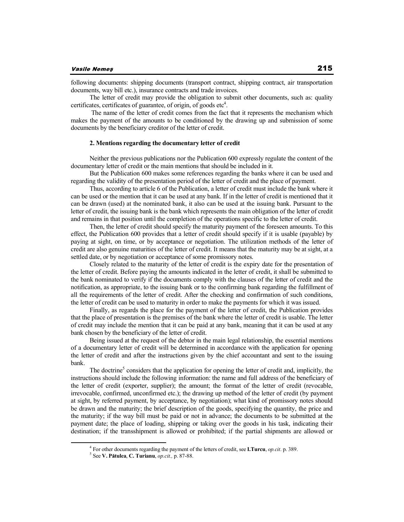following documents: shipping documents (transport contract, shipping contract, air transportation documents, way bill etc.), insurance contracts and trade invoices.

The letter of credit may provide the obligation to submit other documents, such as: quality certificates, certificates of guarantee, of origin, of goods etc $4$ .

 The name of the letter of credit comes from the fact that it represents the mechanism which makes the payment of the amounts to be conditioned by the drawing up and submission of some documents by the beneficiary creditor of the letter of credit.

### **2. Mentions regarding the documentary letter of credit**

Neither the previous publications nor the Publication 600 expressly regulate the content of the documentary letter of credit or the main mentions that should be included in it.

But the Publication 600 makes some references regarding the banks where it can be used and regarding the validity of the presentation period of the letter of credit and the place of payment.

Thus, according to article 6 of the Publication, a letter of credit must include the bank where it can be used or the mention that it can be used at any bank. If in the letter of credit is mentioned that it can be drawn (used) at the nominated bank, it also can be used at the issuing bank. Pursuant to the letter of credit, the issuing bank is the bank which represents the main obligation of the letter of credit and remains in that position until the completion of the operations specific to the letter of credit.

Then, the letter of credit should specify the maturity payment of the foreseen amounts. To this effect, the Publication 600 provides that a letter of credit should specify if it is usable (payable) by paying at sight, on time, or by acceptance or negotiation. The utilization methods of the letter of credit are also genuine maturities of the letter of credit. It means that the maturity may be at sight, at a settled date, or by negotiation or acceptance of some promissory notes.

Closely related to the maturity of the letter of credit is the expiry date for the presentation of the letter of credit. Before paying the amounts indicated in the letter of credit, it shall be submitted to the bank nominated to verify if the documents comply with the clauses of the letter of credit and the notification, as appropriate, to the issuing bank or to the confirming bank regarding the fulfillment of all the requirements of the letter of credit. After the checking and confirmation of such conditions, the letter of credit can be used to maturity in order to make the payments for which it was issued.

Finally, as regards the place for the payment of the letter of credit, the Publication provides that the place of presentation is the premises of the bank where the letter of credit is usable. The letter of credit may include the mention that it can be paid at any bank, meaning that it can be used at any bank chosen by the beneficiary of the letter of credit.

Being issued at the request of the debtor in the main legal relationship, the essential mentions of a documentary letter of credit will be determined in accordance with the application for opening the letter of credit and after the instructions given by the chief accountant and sent to the issuing bank.

The doctrine<sup>5</sup> considers that the application for opening the letter of credit and, implicitly, the instructions should include the following information: the name and full address of the beneficiary of the letter of credit (exporter, supplier); the amount; the format of the letter of credit (revocable, irrevocable, confirmed, unconfirmed etc.); the drawing up method of the letter of credit (by payment at sight, by referred payment, by acceptance, by negotiation); what kind of promissory notes should be drawn and the maturity; the brief description of the goods, specifying the quantity, the price and the maturity; if the way bill must be paid or not in advance; the documents to be submitted at the payment date; the place of loading, shipping or taking over the goods in his task, indicating their destination; if the transshipment is allowed or prohibited; if the partial shipments are allowed or

<sup>4</sup> For other documents regarding the payment of the letters of credit, see **I.Turcu**, *op.cit*. p. 389.

<sup>5</sup> See **V. P tulea**, **C. Turianu**, *op.cit.,* p. 87-88.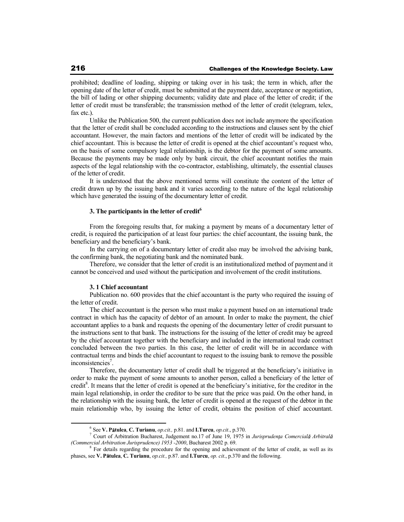prohibited; deadline of loading, shipping or taking over in his task; the term in which, after the opening date of the letter of credit, must be submitted at the payment date, acceptance or negotiation, the bill of lading or other shipping documents; validity date and place of the letter of credit; if the letter of credit must be transferable; the transmission method of the letter of credit (telegram, telex, fax etc.).

Unlike the Publication 500, the current publication does not include anymore the specification that the letter of credit shall be concluded according to the instructions and clauses sent by the chief accountant. However, the main factors and mentions of the letter of credit will be indicated by the chief accountant. This is because the letter of credit is opened at the chief accountant's request who, on the basis of some compulsory legal relationship, is the debtor for the payment of some amounts. Because the payments may be made only by bank circuit, the chief accountant notifies the main aspects of the legal relationship with the co-contractor, establishing, ultimately, the essential clauses of the letter of credit.

It is understood that the above mentioned terms will constitute the content of the letter of credit drawn up by the issuing bank and it varies according to the nature of the legal relationship which have generated the issuing of the documentary letter of credit.

## **3. The participants in the letter of credit<sup>6</sup>**

From the foregoing results that, for making a payment by means of a documentary letter of credit, is required the participation of at least four parties: the chief accountant, the issuing bank, the beneficiary and the beneficiary's bank.

In the carrying on of a documentary letter of credit also may be involved the advising bank, the confirming bank, the negotiating bank and the nominated bank.

Therefore, we consider that the letter of credit is an institutionalized method of payment and it cannot be conceived and used without the participation and involvement of the credit institutions.

### **3. 1 Chief accountant**

Publication no. 600 provides that the chief accountant is the party who required the issuing of the letter of credit.

The chief accountant is the person who must make a payment based on an international trade contract in which has the capacity of debtor of an amount. In order to make the payment, the chief accountant applies to a bank and requests the opening of the documentary letter of credit pursuant to the instructions sent to that bank. The instructions for the issuing of the letter of credit may be agreed by the chief accountant together with the beneficiary and included in the international trade contract concluded between the two parties. In this case, the letter of credit will be in accordance with contractual terms and binds the chief accountant to request to the issuing bank to remove the possible inconsistencies<sup>7</sup>.

Therefore, the documentary letter of credit shall be triggered at the beneficiary's initiative in order to make the payment of some amounts to another person, called a beneficiary of the letter of credit<sup>8</sup>. It means that the letter of credit is opened at the beneficiary's initiative, for the creditor in the main legal relationship, in order the creditor to be sure that the price was paid. On the other hand, in the relationship with the issuing bank, the letter of credit is opened at the request of the debtor in the main relationship who, by issuing the letter of credit, obtains the position of chief accountant.

<sup>6</sup> See **V. P tulea**, **C. Turianu**, *op.cit.,* p.81. and **I.Turcu**, *op.cit*., p.370.

<sup>&</sup>lt;sup>7</sup> Court of Arbitration Bucharest, Judgement no.17 of June 19, 1975 in *Jurisprudența Comercială Arbitral (Commercial Arbitration Jurisprudence) 1953 -2000*, Bucharest 2002 p. 69. 8

For details regarding the procedure for the opening and achievement of the letter of credit, as well as its phases, see **V. P tulea**, **C. Turianu**, *op.cit.,* p.87. and **I.Turcu**, *op. cit*., p.370 and the following.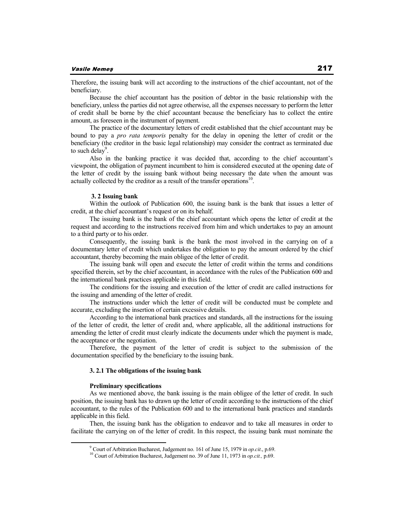Therefore, the issuing bank will act according to the instructions of the chief accountant, not of the beneficiary.

Because the chief accountant has the position of debtor in the basic relationship with the beneficiary, unless the parties did not agree otherwise, all the expenses necessary to perform the letter of credit shall be borne by the chief accountant because the beneficiary has to collect the entire amount, as foreseen in the instrument of payment.

The practice of the documentary letters of credit established that the chief accountant may be bound to pay a *pro rata temporis* penalty for the delay in opening the letter of credit or the beneficiary (the creditor in the basic legal relationship) may consider the contract as terminated due to such delay<sup>9</sup>.

Also in the banking practice it was decided that, according to the chief accountant's viewpoint, the obligation of payment incumbent to him is considered executed at the opening date of the letter of credit by the issuing bank without being necessary the date when the amount was actually collected by the creditor as a result of the transfer operations<sup>10</sup>.

## **3. 2 Issuing bank**

Within the outlook of Publication 600, the issuing bank is the bank that issues a letter of credit, at the chief accountant's request or on its behalf.

The issuing bank is the bank of the chief accountant which opens the letter of credit at the request and according to the instructions received from him and which undertakes to pay an amount to a third party or to his order.

Consequently, the issuing bank is the bank the most involved in the carrying on of a documentary letter of credit which undertakes the obligation to pay the amount ordered by the chief accountant, thereby becoming the main obligee of the letter of credit.

The issuing bank will open and execute the letter of credit within the terms and conditions specified therein, set by the chief accountant, in accordance with the rules of the Publication 600 and the international bank practices applicable in this field.

The conditions for the issuing and execution of the letter of credit are called instructions for the issuing and amending of the letter of credit.

The instructions under which the letter of credit will be conducted must be complete and accurate, excluding the insertion of certain excessive details.

According to the international bank practices and standards, all the instructions for the issuing of the letter of credit, the letter of credit and, where applicable, all the additional instructions for amending the letter of credit must clearly indicate the documents under which the payment is made, the acceptance or the negotiation.

Therefore, the payment of the letter of credit is subject to the submission of the documentation specified by the beneficiary to the issuing bank.

## **3. 2.1 The obligations of the issuing bank**

### **Preliminary specifications**

As we mentioned above, the bank issuing is the main obligee of the letter of credit. In such position, the issuing bank has to drawn up the letter of credit according to the instructions of the chief accountant, to the rules of the Publication 600 and to the international bank practices and standards applicable in this field.

Then, the issuing bank has the obligation to endeavor and to take all measures in order to facilitate the carrying on of the letter of credit. In this respect, the issuing bank must nominate the

<sup>9</sup> Court of Arbitration Bucharest, Judgement no. 161 of June 15, 1979 in *op.cit*., p.69.

<sup>10</sup> Court of Arbitration Bucharest, Judgement no. 39 of June 11, 1973 in *op.cit.,* p.69.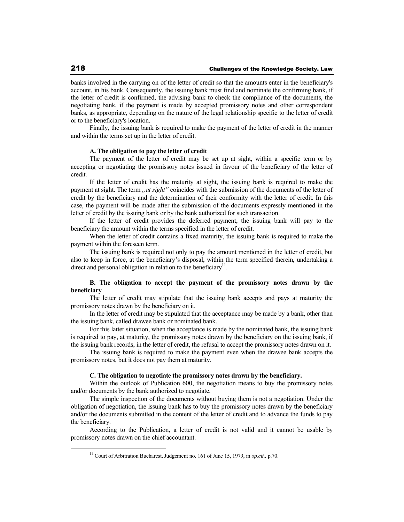banks involved in the carrying on of the letter of credit so that the amounts enter in the beneficiary's account, in his bank. Consequently, the issuing bank must find and nominate the confirming bank, if the letter of credit is confirmed, the advising bank to check the compliance of the documents, the negotiating bank, if the payment is made by accepted promissory notes and other correspondent banks, as appropriate, depending on the nature of the legal relationship specific to the letter of credit or to the beneficiary's location.

Finally, the issuing bank is required to make the payment of the letter of credit in the manner and within the terms set up in the letter of credit.

### **A. The obligation to pay the letter of credit**

The payment of the letter of credit may be set up at sight, within a specific term or by accepting or negotiating the promissory notes issued in favour of the beneficiary of the letter of credit.

If the letter of credit has the maturity at sight, the issuing bank is required to make the payment at sight. The term *nat sight*" coincides with the submission of the documents of the letter of credit by the beneficiary and the determination of their conformity with the letter of credit. In this case, the payment will be made after the submission of the documents expressly mentioned in the letter of credit by the issuing bank or by the bank authorized for such transaction.

If the letter of credit provides the deferred payment, the issuing bank will pay to the beneficiary the amount within the terms specified in the letter of credit.

When the letter of credit contains a fixed maturity, the issuing bank is required to make the payment within the foreseen term.

The issuing bank is required not only to pay the amount mentioned in the letter of credit, but also to keep in force, at the beneficiary's disposal, within the term specified therein, undertaking a direct and personal obligation in relation to the beneficiary $^{11}$ .

# **B. The obligation to accept the payment of the promissory notes drawn by the beneficiary**

The letter of credit may stipulate that the issuing bank accepts and pays at maturity the promissory notes drawn by the beneficiary on it.

In the letter of credit may be stipulated that the acceptance may be made by a bank, other than the issuing bank, called drawee bank or nominated bank.

For this latter situation, when the acceptance is made by the nominated bank, the issuing bank is required to pay, at maturity, the promissory notes drawn by the beneficiary on the issuing bank, if the issuing bank records, in the letter of credit, the refusal to accept the promissory notes drawn on it.

The issuing bank is required to make the payment even when the drawee bank accepts the promissory notes, but it does not pay them at maturity.

### **C. The obligation to negotiate the promissory notes drawn by the beneficiary.**

Within the outlook of Publication 600, the negotiation means to buy the promissory notes and/or documents by the bank authorized to negotiate.

The simple inspection of the documents without buying them is not a negotiation. Under the obligation of negotiation, the issuing bank has to buy the promissory notes drawn by the beneficiary and/or the documents submitted in the content of the letter of credit and to advance the funds to pay the beneficiary.

According to the Publication, a letter of credit is not valid and it cannot be usable by promissory notes drawn on the chief accountant.

<sup>11</sup> Court of Arbitration Bucharest, Judgement no. 161 of June 15, 1979, in *op.cit.,* p.70.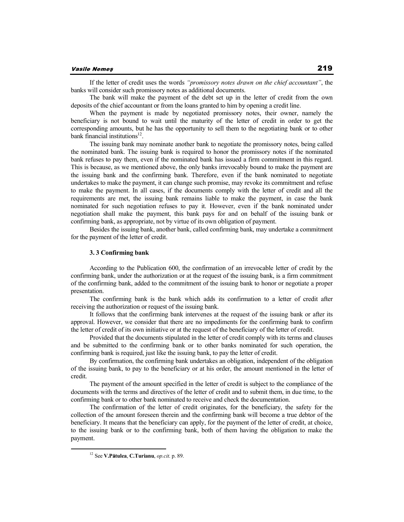### Vasile Nemeş

If the letter of credit uses the words *"promissory notes drawn on the chief accountant"*, the banks will consider such promissory notes as additional documents.

The bank will make the payment of the debt set up in the letter of credit from the own deposits of the chief accountant or from the loans granted to him by opening a credit line.

When the payment is made by negotiated promissory notes, their owner, namely the beneficiary is not bound to wait until the maturity of the letter of credit in order to get the corresponding amounts, but he has the opportunity to sell them to the negotiating bank or to other bank financial institutions<sup>12</sup>.

The issuing bank may nominate another bank to negotiate the promissory notes, being called the nominated bank. The issuing bank is required to honor the promissory notes if the nominated bank refuses to pay them, even if the nominated bank has issued a firm commitment in this regard. This is because, as we mentioned above, the only banks irrevocably bound to make the payment are the issuing bank and the confirming bank. Therefore, even if the bank nominated to negotiate undertakes to make the payment, it can change such promise, may revoke its commitment and refuse to make the payment. In all cases, if the documents comply with the letter of credit and all the requirements are met, the issuing bank remains liable to make the payment, in case the bank nominated for such negotiation refuses to pay it. However, even if the bank nominated under negotiation shall make the payment, this bank pays for and on behalf of the issuing bank or confirming bank, as appropriate, not by virtue of its own obligation of payment.

Besides the issuing bank, another bank, called confirming bank, may undertake a commitment for the payment of the letter of credit.

### **3. 3 Confirming bank**

According to the Publication 600, the confirmation of an irrevocable letter of credit by the confirming bank, under the authorization or at the request of the issuing bank, is a firm commitment of the confirming bank, added to the commitment of the issuing bank to honor or negotiate a proper presentation.

The confirming bank is the bank which adds its confirmation to a letter of credit after receiving the authorization or request of the issuing bank.

It follows that the confirming bank intervenes at the request of the issuing bank or after its approval. However, we consider that there are no impediments for the confirming bank to confirm the letter of credit of its own initiative or at the request of the beneficiary of the letter of credit.

Provided that the documents stipulated in the letter of credit comply with its terms and clauses and be submitted to the confirming bank or to other banks nominated for such operation, the confirming bank is required, just like the issuing bank, to pay the letter of credit.

By confirmation, the confirming bank undertakes an obligation, independent of the obligation of the issuing bank, to pay to the beneficiary or at his order, the amount mentioned in the letter of credit.

The payment of the amount specified in the letter of credit is subject to the compliance of the documents with the terms and directives of the letter of credit and to submit them, in due time, to the confirming bank or to other bank nominated to receive and check the documentation.

The confirmation of the letter of credit originates, for the beneficiary, the safety for the collection of the amount foreseen therein and the confirming bank will become a true debtor of the beneficiary. It means that the beneficiary can apply, for the payment of the letter of credit, at choice, to the issuing bank or to the confirming bank, both of them having the obligation to make the payment.

<sup>12</sup> See **V.P tulea**, **C.Turianu**, *op.cit*. p. 89.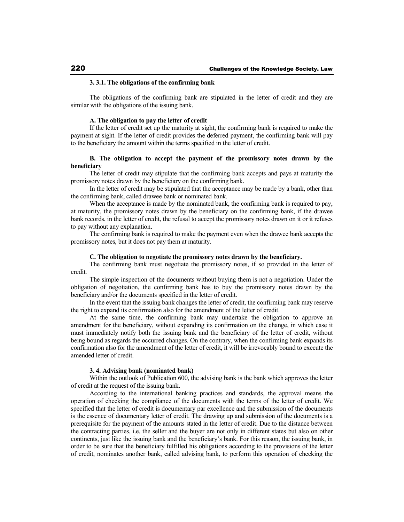## **3. 3.1. The obligations of the confirming bank**

The obligations of the confirming bank are stipulated in the letter of credit and they are similar with the obligations of the issuing bank.

## **A. The obligation to pay the letter of credit**

If the letter of credit set up the maturity at sight, the confirming bank is required to make the payment at sight. If the letter of credit provides the deferred payment, the confirming bank will pay to the beneficiary the amount within the terms specified in the letter of credit.

## **B. The obligation to accept the payment of the promissory notes drawn by the beneficiary**

The letter of credit may stipulate that the confirming bank accepts and pays at maturity the promissory notes drawn by the beneficiary on the confirming bank.

In the letter of credit may be stipulated that the acceptance may be made by a bank, other than the confirming bank, called drawee bank or nominated bank.

When the acceptance is made by the nominated bank, the confirming bank is required to pay, at maturity, the promissory notes drawn by the beneficiary on the confirming bank, if the drawee bank records, in the letter of credit, the refusal to accept the promissory notes drawn on it or it refuses to pay without any explanation.

The confirming bank is required to make the payment even when the drawee bank accepts the promissory notes, but it does not pay them at maturity.

## **C. The obligation to negotiate the promissory notes drawn by the beneficiary.**

The confirming bank must negotiate the promissory notes, if so provided in the letter of credit.

The simple inspection of the documents without buying them is not a negotiation. Under the obligation of negotiation, the confirming bank has to buy the promissory notes drawn by the beneficiary and/or the documents specified in the letter of credit.

In the event that the issuing bank changes the letter of credit, the confirming bank may reserve the right to expand its confirmation also for the amendment of the letter of credit.

At the same time, the confirming bank may undertake the obligation to approve an amendment for the beneficiary, without expanding its confirmation on the change, in which case it must immediately notify both the issuing bank and the beneficiary of the letter of credit, without being bound as regards the occurred changes. On the contrary, when the confirming bank expands its confirmation also for the amendment of the letter of credit, it will be irrevocably bound to execute the amended letter of credit.

### **3. 4. Advising bank (nominated bank)**

Within the outlook of Publication 600, the advising bank is the bank which approves the letter of credit at the request of the issuing bank.

According to the international banking practices and standards, the approval means the operation of checking the compliance of the documents with the terms of the letter of credit. We specified that the letter of credit is documentary par excellence and the submission of the documents is the essence of documentary letter of credit. The drawing up and submission of the documents is a prerequisite for the payment of the amounts stated in the letter of credit. Due to the distance between the contracting parties, i.e. the seller and the buyer are not only in different states but also on other continents, just like the issuing bank and the beneficiary's bank. For this reason, the issuing bank, in order to be sure that the beneficiary fulfilled his obligations according to the provisions of the letter of credit, nominates another bank, called advising bank, to perform this operation of checking the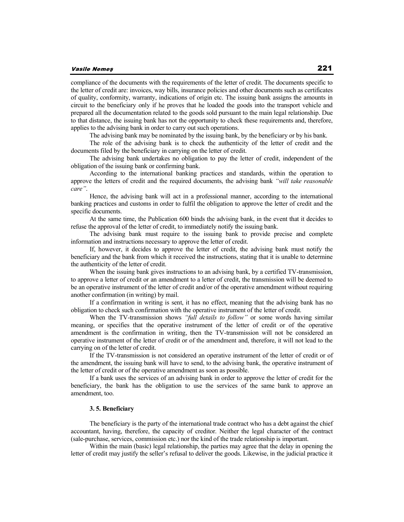compliance of the documents with the requirements of the letter of credit. The documents specific to the letter of credit are: invoices, way bills, insurance policies and other documents such as certificates of quality, conformity, warranty, indications of origin etc. The issuing bank assigns the amounts in circuit to the beneficiary only if he proves that he loaded the goods into the transport vehicle and prepared all the documentation related to the goods sold pursuant to the main legal relationship. Due to that distance, the issuing bank has not the opportunity to check these requirements and, therefore, applies to the advising bank in order to carry out such operations.

The advising bank may be nominated by the issuing bank, by the beneficiary or by his bank.

The role of the advising bank is to check the authenticity of the letter of credit and the documents filed by the beneficiary in carrying on the letter of credit.

The advising bank undertakes no obligation to pay the letter of credit, independent of the obligation of the issuing bank or confirming bank.

According to the international banking practices and standards, within the operation to approve the letters of credit and the required documents, the advising bank *"will take reasonable care"*.

Hence, the advising bank will act in a professional manner, according to the international banking practices and customs in order to fulfil the obligation to approve the letter of credit and the specific documents.

At the same time, the Publication 600 binds the advising bank, in the event that it decides to refuse the approval of the letter of credit, to immediately notify the issuing bank.

The advising bank must require to the issuing bank to provide precise and complete information and instructions necessary to approve the letter of credit.

If, however, it decides to approve the letter of credit, the advising bank must notify the beneficiary and the bank from which it received the instructions, stating that it is unable to determine the authenticity of the letter of credit.

When the issuing bank gives instructions to an advising bank, by a certified TV-transmission, to approve a letter of credit or an amendment to a letter of credit, the transmission will be deemed to be an operative instrument of the letter of credit and/or of the operative amendment without requiring another confirmation (in writing) by mail.

If a confirmation in writing is sent, it has no effect, meaning that the advising bank has no obligation to check such confirmation with the operative instrument of the letter of credit.

When the TV-transmission shows *"full details to follow"* or some words having similar meaning, or specifies that the operative instrument of the letter of credit or of the operative amendment is the confirmation in writing, then the TV-transmission will not be considered an operative instrument of the letter of credit or of the amendment and, therefore, it will not lead to the carrying on of the letter of credit.

If the TV-transmission is not considered an operative instrument of the letter of credit or of the amendment, the issuing bank will have to send, to the advising bank, the operative instrument of the letter of credit or of the operative amendment as soon as possible.

If a bank uses the services of an advising bank in order to approve the letter of credit for the beneficiary, the bank has the obligation to use the services of the same bank to approve an amendment, too.

### **3. 5. Beneficiary**

The beneficiary is the party of the international trade contract who has a debt against the chief accountant, having, therefore, the capacity of creditor. Neither the legal character of the contract (sale-purchase, services, commission etc.) nor the kind of the trade relationship is important.

Within the main (basic) legal relationship, the parties may agree that the delay in opening the letter of credit may justify the seller's refusal to deliver the goods. Likewise, in the judicial practice it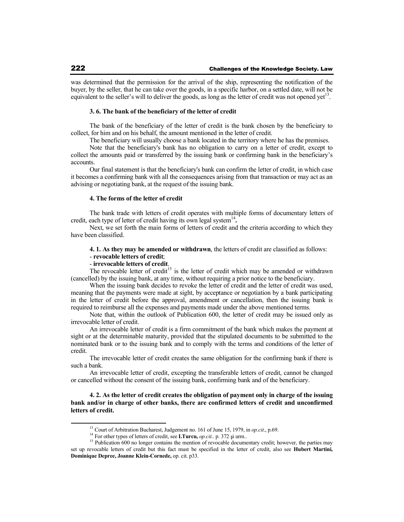was determined that the permission for the arrival of the ship, representing the notification of the buyer, by the seller, that he can take over the goods, in a specific harbor, on a settled date, will not be equivalent to the seller's will to deliver the goods, as long as the letter of credit was not opened yet<sup>13</sup> .

### **3. 6. The bank of the beneficiary of the letter of credit**

The bank of the beneficiary of the letter of credit is the bank chosen by the beneficiary to collect, for him and on his behalf, the amount mentioned in the letter of credit.

The beneficiary will usually choose a bank located in the territory where he has the premises.

Note that the beneficiary's bank has no obligation to carry on a letter of credit, except to collect the amounts paid or transferred by the issuing bank or confirming bank in the beneficiary's accounts.

Our final statement is that the beneficiary's bank can confirm the letter of credit, in which case it becomes a confirming bank with all the consequences arising from that transaction or may act as an advising or negotiating bank, at the request of the issuing bank.

### **4. The forms of the letter of credit**

The bank trade with letters of credit operates with multiple forms of documentary letters of credit, each type of letter of credit having its own legal system<sup>14</sup>.

Next, we set forth the main forms of letters of credit and the criteria according to which they have been classified.

# **4. 1. As they may be amended or withdrawn**, the letters of credit are classified as follows:

# - **revocable letters of credit**;

# - **irrevocable letters of credit**.

The revocable letter of credit<sup>15</sup> is the letter of credit which may be amended or withdrawn (cancelled) by the issuing bank, at any time, without requiring a prior notice to the beneficiary.

When the issuing bank decides to revoke the letter of credit and the letter of credit was used, meaning that the payments were made at sight, by acceptance or negotiation by a bank participating in the letter of credit before the approval, amendment or cancellation, then the issuing bank is required to reimburse all the expenses and payments made under the above mentioned terms.

Note that, within the outlook of Publication 600, the letter of credit may be issued only as irrevocable letter of credit.

An irrevocable letter of credit is a firm commitment of the bank which makes the payment at sight or at the determinable maturity, provided that the stipulated documents to be submitted to the nominated bank or to the issuing bank and to comply with the terms and conditions of the letter of credit.

The irrevocable letter of credit creates the same obligation for the confirming bank if there is such a bank.

An irrevocable letter of credit, excepting the transferable letters of credit, cannot be changed or cancelled without the consent of the issuing bank, confirming bank and of the beneficiary.

**4. 2. As the letter of credit creates the obligation of payment only in charge of the issuing bank and/or in charge of other banks, there are confirmed letters of credit and unconfirmed letters of credit.** 

<sup>13</sup> Court of Arbitration Bucharest, Judgement no. 161 of June 15, 1979, in *op.cit*., p.69.

<sup>&</sup>lt;sup>14</sup> For other types of letters of credit, see **I.Turcu**, *op.cit..* p. 372 și urm..

<sup>&</sup>lt;sup>15</sup> Publication 600 no longer contains the mention of revocable documentary credit; however, the parties may set up revocable letters of credit but this fact must be specified in the letter of credit, also see **Hubert Martini, Dominique Depree, Joanne Klein-Cornede,** op. cit. p33.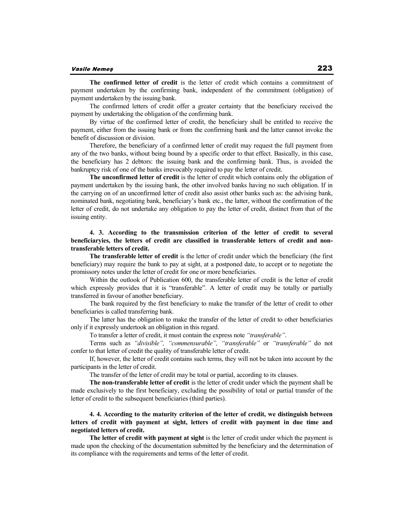**The confirmed letter of credit** is the letter of credit which contains a commitment of payment undertaken by the confirming bank, independent of the commitment (obligation) of payment undertaken by the issuing bank.

The confirmed letters of credit offer a greater certainty that the beneficiary received the payment by undertaking the obligation of the confirming bank.

By virtue of the confirmed letter of credit, the beneficiary shall be entitled to receive the payment, either from the issuing bank or from the confirming bank and the latter cannot invoke the benefit of discussion or division.

Therefore, the beneficiary of a confirmed letter of credit may request the full payment from any of the two banks, without being bound by a specific order to that effect. Basically, in this case, the beneficiary has 2 debtors: the issuing bank and the confirming bank. Thus, is avoided the bankruptcy risk of one of the banks irrevocably required to pay the letter of credit.

**The unconfirmed letter of credit** is the letter of credit which contains only the obligation of payment undertaken by the issuing bank, the other involved banks having no such obligation. If in the carrying on of an unconfirmed letter of credit also assist other banks such as: the advising bank, nominated bank, negotiating bank, beneficiary's bank etc., the latter, without the confirmation of the letter of credit, do not undertake any obligation to pay the letter of credit, distinct from that of the issuing entity.

# **4. 3. According to the transmission criterion of the letter of credit to several beneficiaryies, the letters of credit are classified in transferable letters of credit and nontransferable letters of credit.**

**The transferable letter of credit** is the letter of credit under which the beneficiary (the first beneficiary) may require the bank to pay at sight, at a postponed date, to accept or to negotiate the promissory notes under the letter of credit for one or more beneficiaries.

Within the outlook of Publication 600, the transferable letter of credit is the letter of credit which expressly provides that it is "transferable". A letter of credit may be totally or partially transferred in favour of another beneficiary.

The bank required by the first beneficiary to make the transfer of the letter of credit to other beneficiaries is called transferring bank.

The latter has the obligation to make the transfer of the letter of credit to other beneficiaries only if it expressly undertook an obligation in this regard.

To transfer a letter of credit, it must contain the express note *"transferable"*.

Terms such as *"divisible", "commensurable", "transferable"* or *"transferable"* do not confer to that letter of credit the quality of transferable letter of credit.

If, however, the letter of credit contains such terms, they will not be taken into account by the participants in the letter of credit.

The transfer of the letter of credit may be total or partial, according to its clauses.

**The non-transferable letter of credit** is the letter of credit under which the payment shall be made exclusively to the first beneficiary, excluding the possibility of total or partial transfer of the letter of credit to the subsequent beneficiaries (third parties).

## **4. 4. According to the maturity criterion of the letter of credit, we distinguish between letters of credit with payment at sight, letters of credit with payment in due time and negotiated letters of credit.**

**The letter of credit with payment at sight** is the letter of credit under which the payment is made upon the checking of the documentation submitted by the beneficiary and the determination of its compliance with the requirements and terms of the letter of credit.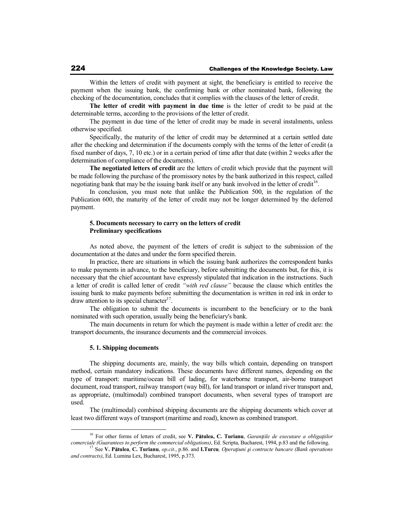Within the letters of credit with payment at sight, the beneficiary is entitled to receive the payment when the issuing bank, the confirming bank or other nominated bank, following the checking of the documentation, concludes that it complies with the clauses of the letter of credit.

**The letter of credit with payment in due time** is the letter of credit to be paid at the determinable terms, according to the provisions of the letter of credit.

The payment in due time of the letter of credit may be made in several instalments, unless otherwise specified.

Specifically, the maturity of the letter of credit may be determined at a certain settled date after the checking and determination if the documents comply with the terms of the letter of credit (a fixed number of days, 7, 10 etc.) or in a certain period of time after that date (within 2 weeks after the determination of compliance of the documents).

**The negotiated letters of credit** are the letters of credit which provide that the payment will be made following the purchase of the promissory notes by the bank authorized in this respect, called negotiating bank that may be the issuing bank itself or any bank involved in the letter of credit<sup>16</sup>.

In conclusion, you must note that unlike the Publication 500, in the regulation of the Publication 600, the maturity of the letter of credit may not be longer determined by the deferred payment.

## **5. Documents necessary to carry on the letters of credit Preliminary specifications**

As noted above, the payment of the letters of credit is subject to the submission of the documentation at the dates and under the form specified therein.

In practice, there are situations in which the issuing bank authorizes the correspondent banks to make payments in advance, to the beneficiary, before submitting the documents but, for this, it is necessary that the chief accountant have expressly stipulated that indication in the instructions. Such a letter of credit is called letter of credit *"with red clause"* because the clause which entitles the issuing bank to make payments before submitting the documentation is written in red ink in order to draw attention to its special character<sup>17</sup>.

The obligation to submit the documents is incumbent to the beneficiary or to the bank nominated with such operation, usually being the beneficiary's bank.

The main documents in return for which the payment is made within a letter of credit are: the transport documents, the insurance documents and the commercial invoices.

### **5. 1. Shipping documents**

The shipping documents are, mainly, the way bills which contain, depending on transport method, certain mandatory indications. These documents have different names, depending on the type of transport: maritime/ocean bill of lading, for waterborne transport, air-borne transport document, road transport, railway transport (way bill), for land transport or inland river transport and, as appropriate, (multimodal) combined transport documents, when several types of transport are used.

The (multimodal) combined shipping documents are the shipping documents which cover at least two different ways of transport (maritime and road), known as combined transport.

<sup>&</sup>lt;sup>16</sup> For other forms of letters of credit, see V. Pătulea, C. Turianu, *Garanțiile de executare a obligațiilor* comerciale (Guarantees to perform the commercial obligations), Ed. Scripta, Bucharest, 1994, p.83 and the following.<br><sup>17</sup> See **V. Pătulea, C. Turianu**, op.cit., p.86. and **I.Turcu**, *Operațiuni și contracte bancare (Bank o* 

*and contracts)*, Ed. Lumina Lex, Bucharest, 1995, p.373.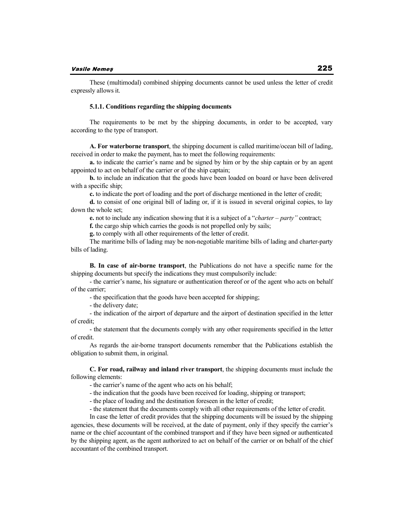These (multimodal) combined shipping documents cannot be used unless the letter of credit expressly allows it.

### **5.1.1. Conditions regarding the shipping documents**

The requirements to be met by the shipping documents, in order to be accepted, vary according to the type of transport.

**A. For waterborne transport**, the shipping document is called maritime/ocean bill of lading, received in order to make the payment, has to meet the following requirements:

**a.** to indicate the carrier's name and be signed by him or by the ship captain or by an agent appointed to act on behalf of the carrier or of the ship captain;

**b.** to include an indication that the goods have been loaded on board or have been delivered with a specific ship:

**c.** to indicate the port of loading and the port of discharge mentioned in the letter of credit;

**d.** to consist of one original bill of lading or, if it is issued in several original copies, to lay down the whole set;

**e.** not to include any indication showing that it is a subject of a "*charter – party"* contract;

**f.** the cargo ship which carries the goods is not propelled only by sails;

**g.** to comply with all other requirements of the letter of credit.

The maritime bills of lading may be non-negotiable maritime bills of lading and charter-party bills of lading.

**B. In case of air-borne transport**, the Publications do not have a specific name for the shipping documents but specify the indications they must compulsorily include:

- the carrier's name, his signature or authentication thereof or of the agent who acts on behalf of the carrier;

- the specification that the goods have been accepted for shipping;

- the delivery date;

- the indication of the airport of departure and the airport of destination specified in the letter of credit;

- the statement that the documents comply with any other requirements specified in the letter of credit.

As regards the air-borne transport documents remember that the Publications establish the obligation to submit them, in original.

**C. For road, railway and inland river transport**, the shipping documents must include the following elements:

- the carrier's name of the agent who acts on his behalf;

- the indication that the goods have been received for loading, shipping or transport;

- the place of loading and the destination foreseen in the letter of credit;

- the statement that the documents comply with all other requirements of the letter of credit.

In case the letter of credit provides that the shipping documents will be issued by the shipping agencies, these documents will be received, at the date of payment, only if they specify the carrier's name or the chief accountant of the combined transport and if they have been signed or authenticated by the shipping agent, as the agent authorized to act on behalf of the carrier or on behalf of the chief accountant of the combined transport.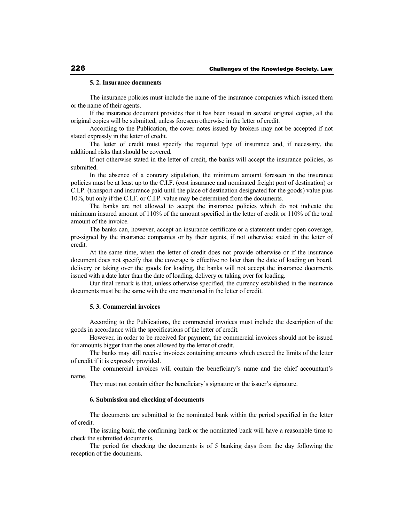### **5. 2. Insurance documents**

The insurance policies must include the name of the insurance companies which issued them or the name of their agents.

If the insurance document provides that it has been issued in several original copies, all the original copies will be submitted, unless foreseen otherwise in the letter of credit.

According to the Publication, the cover notes issued by brokers may not be accepted if not stated expressly in the letter of credit.

The letter of credit must specify the required type of insurance and, if necessary, the additional risks that should be covered.

If not otherwise stated in the letter of credit, the banks will accept the insurance policies, as submitted.

In the absence of a contrary stipulation, the minimum amount foreseen in the insurance policies must be at least up to the C.I.F. (cost insurance and nominated freight port of destination) or C.I.P. (transport and insurance paid until the place of destination designated for the goods) value plus 10%, but only if the C.I.F. or C.I.P. value may be determined from the documents.

The banks are not allowed to accept the insurance policies which do not indicate the minimum insured amount of 110% of the amount specified in the letter of credit or 110% of the total amount of the invoice.

The banks can, however, accept an insurance certificate or a statement under open coverage, pre-signed by the insurance companies or by their agents, if not otherwise stated in the letter of credit.

At the same time, when the letter of credit does not provide otherwise or if the insurance document does not specify that the coverage is effective no later than the date of loading on board, delivery or taking over the goods for loading, the banks will not accept the insurance documents issued with a date later than the date of loading, delivery or taking over for loading.

Our final remark is that, unless otherwise specified, the currency established in the insurance documents must be the same with the one mentioned in the letter of credit.

### **5. 3. Commercial invoices**

According to the Publications, the commercial invoices must include the description of the goods in accordance with the specifications of the letter of credit.

However, in order to be received for payment, the commercial invoices should not be issued for amounts bigger than the ones allowed by the letter of credit.

The banks may still receive invoices containing amounts which exceed the limits of the letter of credit if it is expressly provided.

The commercial invoices will contain the beneficiary's name and the chief accountant's name.

They must not contain either the beneficiary's signature or the issuer's signature.

### **6. Submission and checking of documents**

The documents are submitted to the nominated bank within the period specified in the letter of credit.

The issuing bank, the confirming bank or the nominated bank will have a reasonable time to check the submitted documents.

The period for checking the documents is of 5 banking days from the day following the reception of the documents.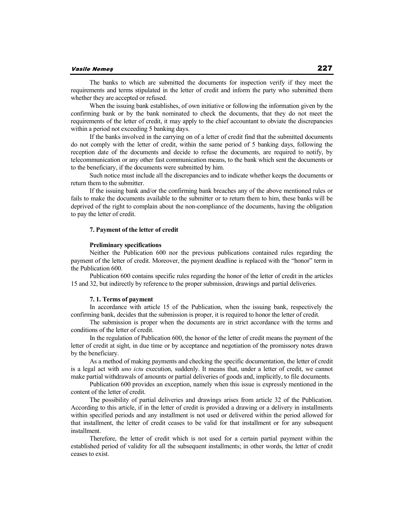The banks to which are submitted the documents for inspection verify if they meet the requirements and terms stipulated in the letter of credit and inform the party who submitted them whether they are accepted or refused.

When the issuing bank establishes, of own initiative or following the information given by the confirming bank or by the bank nominated to check the documents, that they do not meet the requirements of the letter of credit, it may apply to the chief accountant to obviate the discrepancies within a period not exceeding 5 banking days.

If the banks involved in the carrying on of a letter of credit find that the submitted documents do not comply with the letter of credit, within the same period of 5 banking days, following the reception date of the documents and decide to refuse the documents, are required to notify, by telecommunication or any other fast communication means, to the bank which sent the documents or to the beneficiary, if the documents were submitted by him.

Such notice must include all the discrepancies and to indicate whether keeps the documents or return them to the submitter.

If the issuing bank and/or the confirming bank breaches any of the above mentioned rules or fails to make the documents available to the submitter or to return them to him, these banks will be deprived of the right to complain about the non-compliance of the documents, having the obligation to pay the letter of credit.

### **7. Payment of the letter of credit**

### **Preliminary specifications**

Neither the Publication 600 nor the previous publications contained rules regarding the payment of the letter of credit. Moreover, the payment deadline is replaced with the "honor" term in the Publication 600.

Publication 600 contains specific rules regarding the honor of the letter of credit in the articles 15 and 32, but indirectly by reference to the proper submission, drawings and partial deliveries.

### **7. 1. Terms of payment**

In accordance with article 15 of the Publication, when the issuing bank, respectively the confirming bank, decides that the submission is proper, it is required to honor the letter of credit.

The submission is proper when the documents are in strict accordance with the terms and conditions of the letter of credit.

In the regulation of Publication 600, the honor of the letter of credit means the payment of the letter of credit at sight, in due time or by acceptance and negotiation of the promissory notes drawn by the beneficiary.

As a method of making payments and checking the specific documentation, the letter of credit is a legal act with *uno ictu* execution, suddenly. It means that, under a letter of credit, we cannot make partial withdrawals of amounts or partial deliveries of goods and, implicitly, to file documents.

Publication 600 provides an exception, namely when this issue is expressly mentioned in the content of the letter of credit.

The possibility of partial deliveries and drawings arises from article 32 of the Publication. According to this article, if in the letter of credit is provided a drawing or a delivery in installments within specified periods and any installment is not used or delivered within the period allowed for that installment, the letter of credit ceases to be valid for that installment or for any subsequent installment.

Therefore, the letter of credit which is not used for a certain partial payment within the established period of validity for all the subsequent installments; in other words, the letter of credit ceases to exist.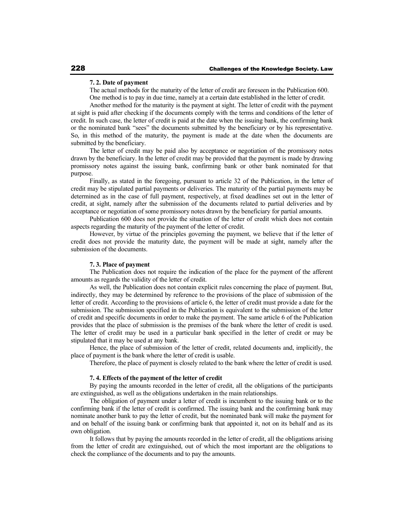### **7. 2. Date of payment**

The actual methods for the maturity of the letter of credit are foreseen in the Publication 600. One method is to pay in due time, namely at a certain date established in the letter of credit.

Another method for the maturity is the payment at sight. The letter of credit with the payment at sight is paid after checking if the documents comply with the terms and conditions of the letter of credit. In such case, the letter of credit is paid at the date when the issuing bank, the confirming bank or the nominated bank "sees" the documents submitted by the beneficiary or by his representative. So, in this method of the maturity, the payment is made at the date when the documents are submitted by the beneficiary.

The letter of credit may be paid also by acceptance or negotiation of the promissory notes drawn by the beneficiary. In the letter of credit may be provided that the payment is made by drawing promissory notes against the issuing bank, confirming bank or other bank nominated for that purpose.

Finally, as stated in the foregoing, pursuant to article 32 of the Publication, in the letter of credit may be stipulated partial payments or deliveries. The maturity of the partial payments may be determined as in the case of full payment, respectively, at fixed deadlines set out in the letter of credit, at sight, namely after the submission of the documents related to partial deliveries and by acceptance or negotiation of some promissory notes drawn by the beneficiary for partial amounts.

Publication 600 does not provide the situation of the letter of credit which does not contain aspects regarding the maturity of the payment of the letter of credit.

However, by virtue of the principles governing the payment, we believe that if the letter of credit does not provide the maturity date, the payment will be made at sight, namely after the submission of the documents.

## **7. 3. Place of payment**

The Publication does not require the indication of the place for the payment of the afferent amounts as regards the validity of the letter of credit.

As well, the Publication does not contain explicit rules concerning the place of payment. But, indirectly, they may be determined by reference to the provisions of the place of submission of the letter of credit. According to the provisions of article 6, the letter of credit must provide a date for the submission. The submission specified in the Publication is equivalent to the submission of the letter of credit and specific documents in order to make the payment. The same article 6 of the Publication provides that the place of submission is the premises of the bank where the letter of credit is used. The letter of credit may be used in a particular bank specified in the letter of credit or may be stipulated that it may be used at any bank.

Hence, the place of submission of the letter of credit, related documents and, implicitly, the place of payment is the bank where the letter of credit is usable.

Therefore, the place of payment is closely related to the bank where the letter of credit is used.

### **7. 4. Effects of the payment of the letter of credit**

By paying the amounts recorded in the letter of credit, all the obligations of the participants are extinguished, as well as the obligations undertaken in the main relationships.

The obligation of payment under a letter of credit is incumbent to the issuing bank or to the confirming bank if the letter of credit is confirmed. The issuing bank and the confirming bank may nominate another bank to pay the letter of credit, but the nominated bank will make the payment for and on behalf of the issuing bank or confirming bank that appointed it, not on its behalf and as its own obligation.

It follows that by paying the amounts recorded in the letter of credit, all the obligations arising from the letter of credit are extinguished, out of which the most important are the obligations to check the compliance of the documents and to pay the amounts.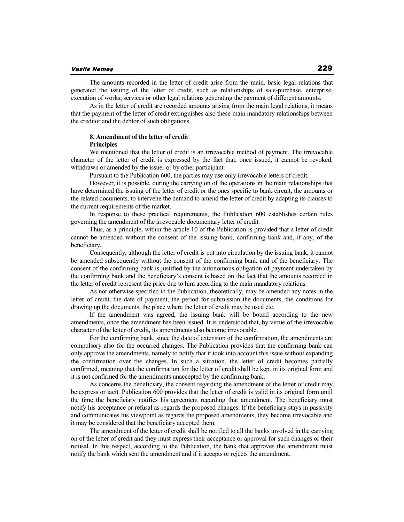### **Vasile Nemeş**

The amounts recorded in the letter of credit arise from the main, basic legal relations that generated the issuing of the letter of credit, such as relationships of sale-purchase, enterprise, execution of works, services or other legal relations generating the payment of different amounts.

As in the letter of credit are recorded amounts arising from the main legal relations, it means that the payment of the letter of credit extinguishes also these main mandatory relationships between the creditor and the debtor of such obligations.

### **8. Amendment of the letter of credit Principles**

We mentioned that the letter of credit is an irrevocable method of payment. The irrevocable character of the letter of credit is expressed by the fact that, once issued, it cannot be revoked, withdrawn or amended by the issuer or by other participant.

Pursuant to the Publication 600, the parties may use only irrevocable letters of credit.

However, it is possible, during the carrying on of the operations in the main relationships that have determined the issuing of the letter of credit or the ones specific to bank circuit, the amounts or the related documents, to intervene the demand to amend the letter of credit by adapting its clauses to the current requirements of the market.

In response to these practical requirements, the Publication 600 establishes certain rules governing the amendment of the irrevocable documentary letter of credit.

Thus, as a principle, within the article 10 of the Publication is provided that a letter of credit cannot be amended without the consent of the issuing bank, confirming bank and, if any, of the beneficiary.

Consequently, although the letter of credit is put into circulation by the issuing bank, it cannot be amended subsequently without the consent of the confirming bank and of the beneficiary. The consent of the confirming bank is justified by the autonomous obligation of payment undertaken by the confirming bank and the beneficiary's consent is based on the fact that the amounts recorded in the letter of credit represent the price due to him according to the main mandatory relations.

As not otherwise specified in the Publication, theoretically, may be amended any notes in the letter of credit, the date of payment, the period for submission the documents, the conditions for drawing up the documents, the place where the letter of credit may be used etc.

If the amendment was agreed, the issuing bank will be bound according to the new amendments, once the amendment has been issued. It is understood that, by virtue of the irrevocable character of the letter of credit, its amendments also become irrevocable.

For the confirming bank, since the date of extension of the confirmation, the amendments are compulsory also for the occurred changes. The Publication provides that the confirming bank can only approve the amendments, namely to notify that it took into account this issue without expanding the confirmation over the changes. In such a situation, the letter of credit becomes partially confirmed, meaning that the confirmation for the letter of credit shall be kept in its original form and it is not confirmed for the amendments unaccepted by the confirming bank.

As concerns the beneficiary, the consent regarding the amendment of the letter of credit may be express or tacit. Publication 600 provides that the letter of credit is valid in its original form until the time the beneficiary notifies his agreement regarding that amendment. The beneficiary must notify his acceptance or refusal as regards the proposed changes. If the beneficiary stays in passivity and communicates his viewpoint as regards the proposed amendments, they become irrevocable and it may be considered that the beneficiary accepted them.

The amendment of the letter of credit shall be notified to all the banks involved in the carrying on of the letter of credit and they must express their acceptance or approval for such changes or their refusal. In this respect, according to the Publication, the bank that approves the amendment must notify the bank which sent the amendment and if it accepts or rejects the amendment.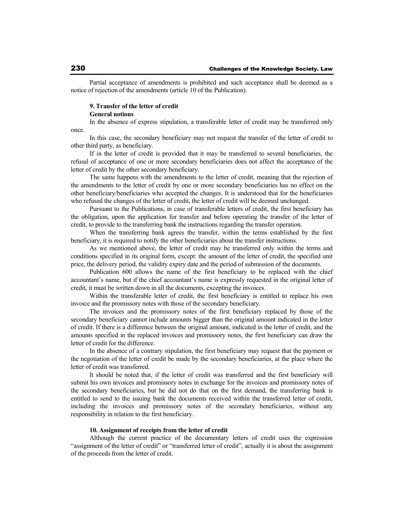Partial acceptance of amendments is prohibited and such acceptance shall be deemed as a notice of rejection of the amendments (article 10 of the Publication).

### **9. Transfer of the letter of credit General notions**

In the absence of express stipulation, a transferable letter of credit may be transferred only once.

In this case, the secondary beneficiary may not request the transfer of the letter of credit to other third party, as beneficiary.

If in the letter of credit is provided that it may be transferred to several beneficiaries, the refusal of acceptance of one or more secondary beneficiaries does not affect the acceptance of the letter of credit by the other secondary beneficiary.

The same happens with the amendments to the letter of credit, meaning that the rejection of the amendments to the letter of credit by one or more secondary beneficiaries has no effect on the other beneficiary/beneficiaries who accepted the changes. It is understood that for the beneficiaries who refused the changes of the letter of credit, the letter of credit will be deemed unchanged.

Pursuant to the Publications, in case of transferable letters of credit, the first beneficiary has the obligation, upon the application for transfer and before operating the transfer of the letter of credit, to provide to the transferring bank the instructions regarding the transfer operation.

When the transferring bank agrees the transfer, within the terms established by the first beneficiary, it is required to notify the other beneficiaries about the transfer instructions.

As we mentioned above, the letter of credit may be transferred only within the terms and conditions specified in its original form, except: the amount of the letter of credit, the specified unit price, the delivery period, the validity expiry date and the period of submission of the documents.

Publication 600 allows the name of the first beneficiary to be replaced with the chief accountant's name, but if the chief accountant's name is expressly requested in the original letter of credit, it must be written down in all the documents, excepting the invoices.

Within the transferable letter of credit, the first beneficiary is entitled to replace his own invoice and the promissory notes with those of the secondary beneficiary.

The invoices and the promissory notes of the first beneficiary replaced by those of the secondary beneficiary cannot include amounts bigger than the original amount indicated in the letter of credit. If there is a difference between the original amount, indicated in the letter of credit, and the amounts specified in the replaced invoices and promissory notes, the first beneficiary can draw the letter of credit for the difference.

In the absence of a contrary stipulation, the first beneficiary may request that the payment or the negotiation of the letter of credit be made by the secondary beneficiaries, at the place where the letter of credit was transferred.

It should be noted that, if the letter of credit was transferred and the first beneficiary will submit his own invoices and promissory notes in exchange for the invoices and promissory notes of the secondary beneficiaries, but he did not do that on the first demand, the transferring bank is entitled to send to the issuing bank the documents received within the transferred letter of credit, including the invoices and promissory notes of the secondary beneficiaries, without any responsibility in relation to the first beneficiary.

## **10. Assignment of receipts from the letter of credit**

Although the current practice of the documentary letters of credit uses the expression "assignment of the letter of credit" or "transferred letter of credit", actually it is about the assignment of the proceeds from the letter of credit.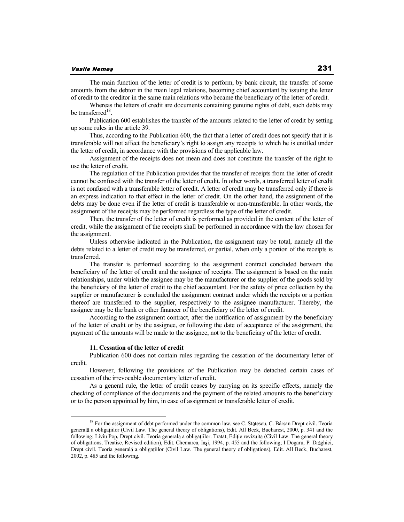### **Vasile Nemeş**

The main function of the letter of credit is to perform, by bank circuit, the transfer of some amounts from the debtor in the main legal relations, becoming chief accountant by issuing the letter of credit to the creditor in the same main relations who became the beneficiary of the letter of credit.

Whereas the letters of credit are documents containing genuine rights of debt, such debts may be transferred<sup>18</sup>.

Publication 600 establishes the transfer of the amounts related to the letter of credit by setting up some rules in the article 39.

Thus, according to the Publication 600, the fact that a letter of credit does not specify that it is transferable will not affect the beneficiary's right to assign any receipts to which he is entitled under the letter of credit, in accordance with the provisions of the applicable law.

Assignment of the receipts does not mean and does not constitute the transfer of the right to use the letter of credit.

The regulation of the Publication provides that the transfer of receipts from the letter of credit cannot be confused with the transfer of the letter of credit. In other words, a transferred letter of credit is not confused with a transferable letter of credit. A letter of credit may be transferred only if there is an express indication to that effect in the letter of credit. On the other hand, the assignment of the debts may be done even if the letter of credit is transferable or non-transferable. In other words, the assignment of the receipts may be performed regardless the type of the letter of credit.

Then, the transfer of the letter of credit is performed as provided in the content of the letter of credit, while the assignment of the receipts shall be performed in accordance with the law chosen for the assignment.

Unless otherwise indicated in the Publication, the assignment may be total, namely all the debts related to a letter of credit may be transferred, or partial, when only a portion of the receipts is transferred.

The transfer is performed according to the assignment contract concluded between the beneficiary of the letter of credit and the assignee of receipts. The assignment is based on the main relationships, under which the assignee may be the manufacturer or the supplier of the goods sold by the beneficiary of the letter of credit to the chief accountant. For the safety of price collection by the supplier or manufacturer is concluded the assignment contract under which the receipts or a portion thereof are transferred to the supplier, respectively to the assignee manufacturer. Thereby, the assignee may be the bank or other financer of the beneficiary of the letter of credit.

According to the assignment contract, after the notification of assignment by the beneficiary of the letter of credit or by the assignee, or following the date of acceptance of the assignment, the payment of the amounts will be made to the assignee, not to the beneficiary of the letter of credit.

### **11. Cessation of the letter of credit**

Publication 600 does not contain rules regarding the cessation of the documentary letter of credit.

However, following the provisions of the Publication may be detached certain cases of cessation of the irrevocable documentary letter of credit.

As a general rule, the letter of credit ceases by carrying on its specific effects, namely the checking of compliance of the documents and the payment of the related amounts to the beneficiary or to the person appointed by him, in case of assignment or transferable letter of credit.

<sup>&</sup>lt;sup>18</sup> For the assignment of debt performed under the common law, see C. Stătescu, C. Bârsan Drept civil. Teoria general a obligatiilor (Civil Law. The general theory of obligations), Edit. All Beck, Bucharest, 2000, p. 341 and the following; Liviu Pop, Drept civil. Teoria generală a obligațiilor. Tratat, Ediție revizuită (Civil Law. The general theory of obligations, Treatise, Revised edition), Edit. Chemarea, Iași, 1994, p. 455 and the following; I Dogaru, P. Drăghici, Drept civil. Teoria generală a obligațiilor (Civil Law. The general theory of obligations), Edit. All Beck, Bucharest, 2002, p. 485 and the following.